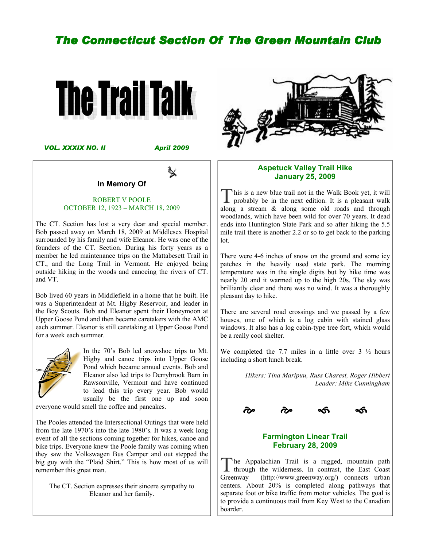# **The Connecticut Section Of The Green Mountain Club**

 $\mathbb{R}$ 



VOL. XXXIX NO. II

April 2009

 $\mathbb{\times}$ 

#### In Memory Of

#### ROBERT V POOLE OCTOBER 12, 1923 – MARCH 18, 2009

The CT. Section has lost a very dear and special member. Bob passed away on March 18, 2009 at Middlesex Hospital surrounded by his family and wife Eleanor. He was one of the founders of the CT. Section. During his forty years as a member he led maintenance trips on the Mattabesett Trail in CT., and the Long Trail in Vermont. He enjoyed being outside hiking in the woods and canoeing the rivers of CT. and VT.

Bob lived 60 years in Middlefield in a home that he built. He was a Superintendent at Mt. Higby Reservoir, and leader in the Boy Scouts. Bob and Eleanor spent their Honeymoon at Upper Goose Pond and then became caretakers with the AMC each summer. Eleanor is still caretaking at Upper Goose Pond for a week each summer.



In the 70's Bob led snowshoe trips to Mt. Higby and canoe trips into Upper Goose Pond which became annual events. Bob and Eleanor also led trips to Derrybrook Barn in Rawsonville, Vermont and have continued to lead this trip every year. Bob would usually be the first one up and soon

everyone would smell the coffee and pancakes.

The Pooles attended the Intersectional Outings that were held from the late 1970's into the late 1980's. It was a week long event of all the sections coming together for hikes, canoe and bike trips. Everyone knew the Poole family was coming when they saw the Volkswagen Bus Camper and out stepped the big guy with the "Plaid Shirt." This is how most of us will remember this great man.

The CT. Section expresses their sincere sympathy to Eleanor and her family.



#### Aspetuck Valley Trail Hike January 25, 2009

This is a new blue trail not in the Walk Book yet, it will probably be in the next edition. It is a pleasant walk along a stream & along some old roads and through woodlands, which have been wild for over 70 years. It dead ends into Huntington State Park and so after hiking the 5.5 mile trail there is another 2.2 or so to get back to the parking lot.

There were 4-6 inches of snow on the ground and some icy patches in the heavily used state park. The morning temperature was in the single digits but by hike time was nearly 20 and it warmed up to the high 20s. The sky was brilliantly clear and there was no wind. It was a thoroughly pleasant day to hike.

There are several road crossings and we passed by a few houses, one of which is a log cabin with stained glass windows. It also has a log cabin-type tree fort, which would be a really cool shelter.

We completed the 7.7 miles in a little over  $3\frac{1}{2}$  hours including a short lunch break.

> Hikers: Tina Maripuu, Russ Charest, Roger Hibbert Leader: Mike Cunningham



#### Farmington Linear Trail February 28, 2009

The Appalachian Trail is a rugged, mountain path through the wilderness. In contrast, the East Coast Greenway (http://www.greenway.org/) connects urban centers. About 20% is completed along pathways that separate foot or bike traffic from motor vehicles. The goal is to provide a continuous trail from Key West to the Canadian boarder.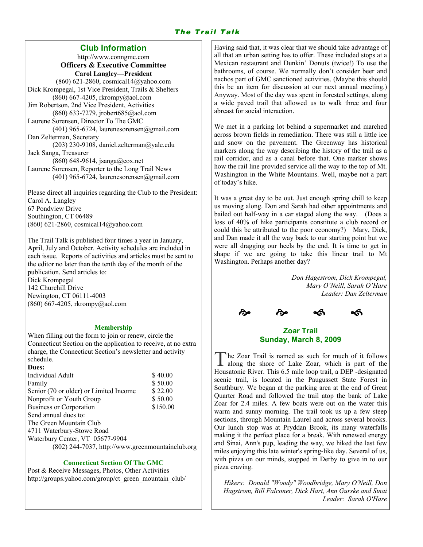# The Trail Talk

## Club Information

http://www.conngmc.com Officers & Executive Committee Carol Langley—President (860) 621-2860, cosmical14@yahoo.com Dick Krompegal, 1st Vice President, Trails & Shelters (860) 667-4205, rkrompy@aol.com Jim Robertson, 2nd Vice President, Activities (860) 633-7279, jrobert685@aol.com Laurene Sorensen, Director To The GMC (401) 965-6724, laurenesorensen@gmail.com Dan Zelterman, Secretary (203) 230-9108, daniel.zelterman@yale.edu Jack Sanga, Treasurer (860) 648-9614, jsanga@cox.net Laurene Sorensen, Reporter to the Long Trail News  $(401)$  965-6724, laurenesorensen@gmail.com

Please direct all inquiries regarding the Club to the President: Carol A. Langley 67 Pondview Drive Southington, CT 06489 (860) 621-2860, cosmical14@yahoo.com

The Trail Talk is published four times a year in January, April, July and October. Activity schedules are included in each issue. Reports of activities and articles must be sent to the editor no later than the tenth day of the month of the publication. Send articles to: Dick Krompegal 142 Churchill Drive Newington, CT 06111-4003 (860) 667-4205, rkrompy@aol.com

#### Membership

When filling out the form to join or renew, circle the Connecticut Section on the application to receive, at no extra charge, the Connecticut Section's newsletter and activity schedule.

#### Dues: Individual Adult \$ 40.00<br>Family \$ 50.00 Family Senior (70 or older) or Limited Income \$22.00 Nonprofit or Youth Group  $$50.00$ Business or Corporation  $$150.00$ Send annual dues to: The Green Mountain Club 4711 Waterbury-Stowe Road Waterbury Center, VT 05677-9904 (802) 244-7037, http://www.greenmountainclub.org

#### Connecticut Section Of The GMC

Post & Receive Messages, Photos, Other Activities http://groups.yahoo.com/group/ct\_green\_mountain\_club/ Having said that, it was clear that we should take advantage of all that an urban setting has to offer. These included stops at a Mexican restaurant and Dunkin' Donuts (twice!) To use the bathrooms, of course. We normally don't consider beer and nachos part of GMC sanctioned activities. (Maybe this should this be an item for discussion at our next annual meeting.) Anyway. Most of the day was spent in forested settings, along a wide paved trail that allowed us to walk three and four abreast for social interaction.

We met in a parking lot behind a supermarket and marched across brown fields in remediation. There was still a little ice and snow on the pavement. The Greenway has historical markers along the way describing the history of the trail as a rail corridor, and as a canal before that. One marker shows how the rail line provided service all the way to the top of Mt. Washington in the White Mountains. Well, maybe not a part of today's hike.

It was a great day to be out. Just enough spring chill to keep us moving along. Don and Sarah had other appointments and bailed out half-way in a car staged along the way. (Does a loss of 40% of hike participants constitute a club record or could this be attributed to the poor economy?) Mary, Dick, and Dan made it all the way back to our starting point but we were all dragging our heels by the end. It is time to get in shape if we are going to take this linear trail to Mt Washington. Perhaps another day?

> Don Hagestrom, Dick Krompegal, Mary O'Neill, Sarah O'Hare Leader: Dan Zelterman



## Zoar Trail Sunday, March 8, 2009

The Zoar Trail is named as such for much of it follows<br>along the shore of Lake Zoar, which is part of the Housatonic River. This 6.5 mile loop trail, a DEP -designated scenic trail, is located in the Paugussett State Forest in Southbury. We began at the parking area at the end of Great Quarter Road and followed the trail atop the bank of Lake Zoar for 2.4 miles. A few boats were out on the water this warm and sunny morning. The trail took us up a few steep sections, through Mountain Laurel and across several brooks. Our lunch stop was at Pryddan Brook, its many waterfalls making it the perfect place for a break. With renewed energy and Sinai, Ann's pup, leading the way, we hiked the last few miles enjoying this late winter's spring-like day. Several of us, with pizza on our minds, stopped in Derby to give in to our pizza craving.

Hikers: Donald "Woody" Woodbridge, Mary O'Neill, Don Hagstrom, Bill Falconer, Dick Hart, Ann Gurske and Sinai Leader: Sarah O'Hare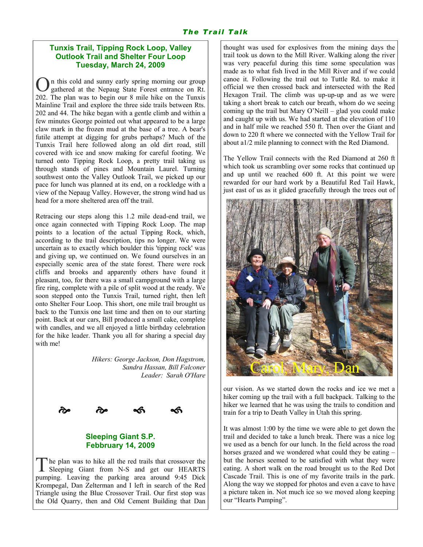## Tunxis Trail, Tipping Rock Loop, Valley Outlook Trail and Shelter Four Loop Tuesday, March 24, 2009

On this cold and sunny early spring morning our group gathered at the Nepaug State Forest entrance on Rt. 202. The plan was to begin our 8 mile hike on the Tunxis Mainline Trail and explore the three side trails between Rts. 202 and 44. The hike began with a gentle climb and within a few minutes George pointed out what appeared to be a large claw mark in the frozen mud at the base of a tree. A bear's futile attempt at digging for grubs perhaps? Much of the Tunxis Trail here followed along an old dirt road, still covered with ice and snow making for careful footing. We turned onto Tipping Rock Loop, a pretty trail taking us through stands of pines and Mountain Laurel. Turning southwest onto the Valley Outlook Trail, we picked up our pace for lunch was planned at its end, on a rockledge with a view of the Nepaug Valley. However, the strong wind had us head for a more sheltered area off the trail.

Retracing our steps along this 1.2 mile dead-end trail, we once again connected with Tipping Rock Loop. The map points to a location of the actual Tipping Rock, which, according to the trail description, tips no longer. We were uncertain as to exactly which boulder this 'tipping rock' was and giving up, we continued on. We found ourselves in an especially scenic area of the state forest. There were rock cliffs and brooks and apparently others have found it pleasant, too, for there was a small campground with a large fire ring, complete with a pile of split wood at the ready. We soon stepped onto the Tunxis Trail, turned right, then left onto Shelter Four Loop. This short, one mile trail brought us back to the Tunxis one last time and then on to our starting point. Back at our cars, Bill produced a small cake, complete with candles, and we all enjoyed a little birthday celebration for the hike leader. Thank you all for sharing a special day with me!

> Hikers: George Jackson, Don Hagstrom, Sandra Hassan, Bill Falconer Leader: Sarah O'Hare



## Sleeping Giant S.P. Febbruary 14, 2009

The plan was to hike all the red trails that crossover the Sleeping Giant from N-S and get our HEARTS pumping. Leaving the parking area around 9:45 Dick Krompegal, Dan Zelterman and I left in search of the Red Triangle using the Blue Crossover Trail. Our first stop was the Old Quarry, then and Old Cement Building that Dan

thought was used for explosives from the mining days the trail took us down to the Mill River. Walking along the river was very peaceful during this time some speculation was made as to what fish lived in the Mill River and if we could canoe it. Following the trail out to Tuttle Rd. to make it official we then crossed back and intersected with the Red Hexagon Trail. The climb was up-up-up and as we were taking a short break to catch our breath, whom do we seeing coming up the trail but Mary O'Neill – glad you could make and caught up with us. We had started at the elevation of 110 and in half mile we reached 550 ft. Then over the Giant and down to 220 ft where we connected with the Yellow Trail for about a1/2 mile planning to connect with the Red Diamond.

The Yellow Trail connects with the Red Diamond at 260 ft which took us scrambling over some rocks that continued up and up until we reached 600 ft. At this point we were rewarded for our hard work by a Beautiful Red Tail Hawk, just east of us as it glided gracefully through the trees out of



our vision. As we started down the rocks and ice we met a hiker coming up the trail with a full backpack. Talking to the hiker we learned that he was using the trails to condition and train for a trip to Death Valley in Utah this spring.

It was almost 1:00 by the time we were able to get down the trail and decided to take a lunch break. There was a nice log we used as a bench for our lunch. In the field across the road horses grazed and we wondered what could they be eating – but the horses seemed to be satisfied with what they were eating. A short walk on the road brought us to the Red Dot Cascade Trail. This is one of my favorite trails in the park. Along the way we stopped for photos and even a cave to have a picture taken in. Not much ice so we moved along keeping our "Hearts Pumping".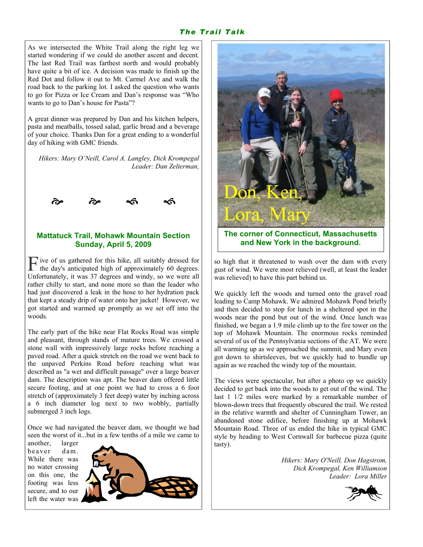#### The Trail Talk

As we intersected the White Trail along the right leg we started wondering if we could do another ascent and decent. The last Red Trail was farthest north and would probably have quite a bit of ice. A decision was made to finish up the Red Dot and follow it out to Mt. Carmel Ave and walk the road back to the parking lot. I asked the question who wants to go for Pizza or Ice Cream and Dan's response was "Who wants to go to Dan's house for Pasta"?

A great dinner was prepared by Dan and his kitchen helpers, pasta and meatballs, tossed salad, garlic bread and a beverage of your choice. Thanks Dan for a great ending to a wonderful day of hiking with GMC friends.

Hikers: Mary O'Neill, Carol A. Langley, Dick Krompegal Leader: Dan Zelterman,



## Mattatuck Trail, Mohawk Mountain Section Sunday, April 5, 2009

 $\Gamma$  ive of us gathered for this hike, all suitably dressed for the day's anticipated high of approximately 60 degrees. Unfortunately, it was 37 degrees and windy, so we were all rather chilly to start, and none more so than the leader who had just discovered a leak in the hose to her hydration pack that kept a steady drip of water onto her jacket! However, we got started and warmed up promptly as we set off into the woods.

The early part of the hike near Flat Rocks Road was simple and pleasant, through stands of mature trees. We crossed a stone wall with impressively large rocks before reaching a paved road. After a quick stretch on the road we went back to the unpaved Perkins Road before reaching what was described as "a wet and difficult passage" over a large beaver dam. The description was apt. The beaver dam offered little secure footing, and at one point we had to cross a 6 foot stretch of (approximately 3 feet deep) water by inching across a 6 inch diameter log next to two wobbly, partially submerged 3 inch logs.

Once we had navigated the beaver dam, we thought we had seen the worst of it...but in a few tenths of a mile we came to

another, larger beaver dam While there was no water crossing on this one, the footing was less secure, and to our left the water was

![](_page_3_Picture_10.jpeg)

![](_page_3_Picture_11.jpeg)

The corner of Connecticut, Massachusetts and New York in the background.

so high that it threatened to wash over the dam with every gust of wind. We were most relieved (well, at least the leader was relieved) to have this part behind us.

We quickly left the woods and turned onto the gravel road leading to Camp Mohawk. We admired Mohawk Pond briefly and then decided to stop for lunch in a sheltered spot in the woods near the pond but out of the wind. Once lunch was finished, we began a 1.9 mile climb up to the fire tower on the top of Mohawk Mountain. The enormous rocks reminded several of us of the Pennsylvania sections of the AT. We were all warming up as we approached the summit, and Mary even got down to shirtsleeves, but we quickly had to bundle up again as we reached the windy top of the mountain.

The views were spectacular, but after a photo op we quickly decided to get back into the woods to get out of the wind. The last 1 1/2 miles were marked by a remarkable number of blown-down trees that frequently obscured the trail. We rested in the relative warmth and shelter of Cunningham Tower, an abandoned stone edifice, before finishing up at Mohawk Mountain Road. Three of us ended the hike in typical GMC style by heading to West Cornwall for barbecue pizza (quite tasty).

> Hikers: Mary O'Neill, Don Hagstrom, Dick Krompegal, Ken Williamson Leader: Lora Miller

![](_page_3_Picture_17.jpeg)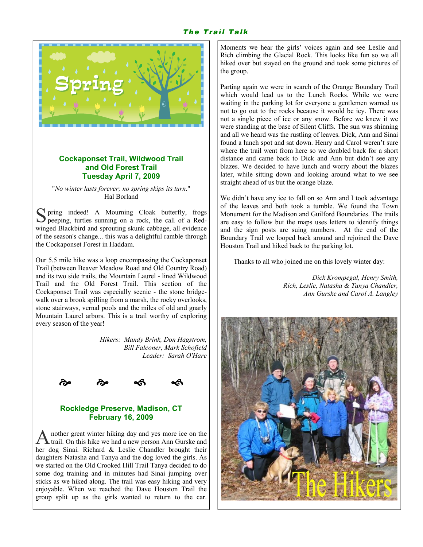## The Trail Talk

![](_page_4_Picture_1.jpeg)

#### Cockaponset Trail, Wildwood Trail and Old Forest Trail Tuesday April 7, 2009

"No winter lasts forever; no spring skips its turn." Hal Borland

S pring indeed! A Mourning Cloak butterfly, frogs peeping, turtles sunning on a rock, the call of a Redwinged Blackbird and sprouting skunk cabbage, all evidence of the season's change... this was a delightful ramble through the Cockaponset Forest in Haddam.

Our 5.5 mile hike was a loop encompassing the Cockaponset Trail (between Beaver Meadow Road and Old Country Road) and its two side trails, the Mountain Laurel - lined Wildwood Trail and the Old Forest Trail. This section of the Cockaponset Trail was especially scenic - the stone bridgewalk over a brook spilling from a marsh, the rocky overlooks, stone stairways, vernal pools and the miles of old and gnarly Mountain Laurel arbors. This is a trail worthy of exploring every season of the year!

> Hikers: Mandy Brink, Don Hagstrom, Bill Falconer, Mark Schofield Leader: Sarah O'Hare

![](_page_4_Picture_7.jpeg)

![](_page_4_Picture_8.jpeg)

## Rockledge Preserve, Madison, CT February 16, 2009

A nother great winter hiking day and yes more ice on the trail. On this hike we had a new person Ann Gurske and her dog Sinai. Richard & Leslie Chandler brought their daughters Natasha and Tanya and the dog loved the girls. As we started on the Old Crooked Hill Trail Tanya decided to do some dog training and in minutes had Sinai jumping over sticks as we hiked along. The trail was easy hiking and very enjoyable. When we reached the Dave Houston Trail the group split up as the girls wanted to return to the car.

Moments we hear the girls' voices again and see Leslie and Rich climbing the Glacial Rock. This looks like fun so we all hiked over but stayed on the ground and took some pictures of the group.

Parting again we were in search of the Orange Boundary Trail which would lead us to the Lunch Rocks. While we were waiting in the parking lot for everyone a gentlemen warned us not to go out to the rocks because it would be icy. There was not a single piece of ice or any snow. Before we knew it we were standing at the base of Silent Cliffs. The sun was shinning and all we heard was the rustling of leaves. Dick, Ann and Sinai found a lunch spot and sat down. Henry and Carol weren't sure where the trail went from here so we doubled back for a short distance and came back to Dick and Ann but didn't see any blazes. We decided to have lunch and worry about the blazes later, while sitting down and looking around what to we see straight ahead of us but the orange blaze.

We didn't have any ice to fall on so Ann and I took advantage of the leaves and both took a tumble. We found the Town Monument for the Madison and Guilford Boundaries. The trails are easy to follow but the maps uses letters to identify things and the sign posts are suing numbers. At the end of the Boundary Trail we looped back around and rejoined the Dave Houston Trail and hiked back to the parking lot.

Thanks to all who joined me on this lovely winter day:

Dick Krompegal, Henry Smith, Rich, Leslie, Natasha & Tanya Chandler, Ann Gurske and Carol A. Langley

![](_page_4_Picture_16.jpeg)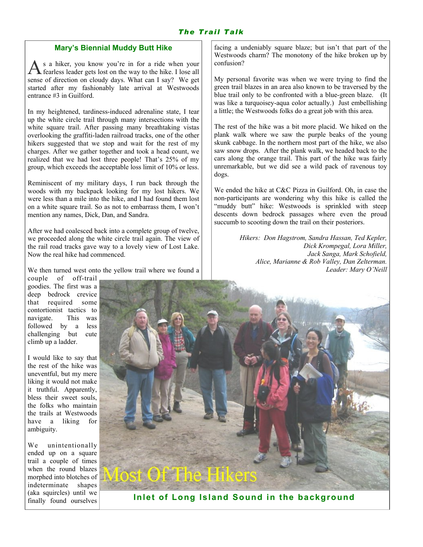#### Mary's Biennial Muddy Butt Hike

s a hiker, you know you're in for a ride when your fearless leader gets lost on the way to the hike. I lose all sense of direction on cloudy days. What can I say? We get started after my fashionably late arrival at Westwoods entrance #3 in Guilford.

In my heightened, tardiness-induced adrenaline state, I tear up the white circle trail through many intersections with the white square trail. After passing many breathtaking vistas overlooking the graffiti-laden railroad tracks, one of the other hikers suggested that we stop and wait for the rest of my charges. After we gather together and took a head count, we realized that we had lost three people! That's 25% of my group, which exceeds the acceptable loss limit of 10% or less.

Reminiscent of my military days, I run back through the woods with my backpack looking for my lost hikers. We were less than a mile into the hike, and I had found them lost on a white square trail. So as not to embarrass them, I won't mention any names, Dick, Dan, and Sandra.

After we had coalesced back into a complete group of twelve, we proceeded along the white circle trail again. The view of the rail road tracks gave way to a lovely view of Lost Lake. Now the real hike had commenced.

We then turned west onto the yellow trail where we found a

facing a undeniably square blaze; but isn't that part of the Westwoods charm? The monotony of the hike broken up by confusion?

My personal favorite was when we were trying to find the green trail blazes in an area also known to be traversed by the blue trail only to be confronted with a blue-green blaze. (It was like a turquoisey-aqua color actually.) Just embellishing a little; the Westwoods folks do a great job with this area.

The rest of the hike was a bit more placid. We hiked on the plank walk where we saw the purple beaks of the young skunk cabbage. In the northern most part of the hike, we also saw snow drops. After the plank walk, we headed back to the cars along the orange trail. This part of the hike was fairly unremarkable, but we did see a wild pack of ravenous toy dogs.

We ended the hike at C&C Pizza in Guilford. Oh, in case the non-participants are wondering why this hike is called the "muddy butt" hike: Westwoods is sprinkled with steep descents down bedrock passages where even the proud succumb to scooting down the trail on their posteriors.

> Hikers: Don Hagstrom, Sandra Hassan, Ted Kepler, Dick Krompegal, Lora Miller, Jack Sanga, Mark Schofield, Alice, Marianne & Rob Valley, Dan Zelterman. Leader: Mary O'Neill

couple of off-trail goodies. The first was a deep bedrock crevice that required some contortionist tactics to navigate. This was followed by a less challenging but cute climb up a ladder.

I would like to say that the rest of the hike was uneventful, but my mere liking it would not make it truthful. Apparently, bless their sweet souls, the folks who maintain the trails at Westwoods have a liking for ambiguity.

We unintentionally ended up on a square trail a couple of times when the round blazes morphed into blotches of indeterminate shapes (aka squircles) until we finally found ourselves

![](_page_5_Picture_15.jpeg)

Inlet of Long Island Sound in the background